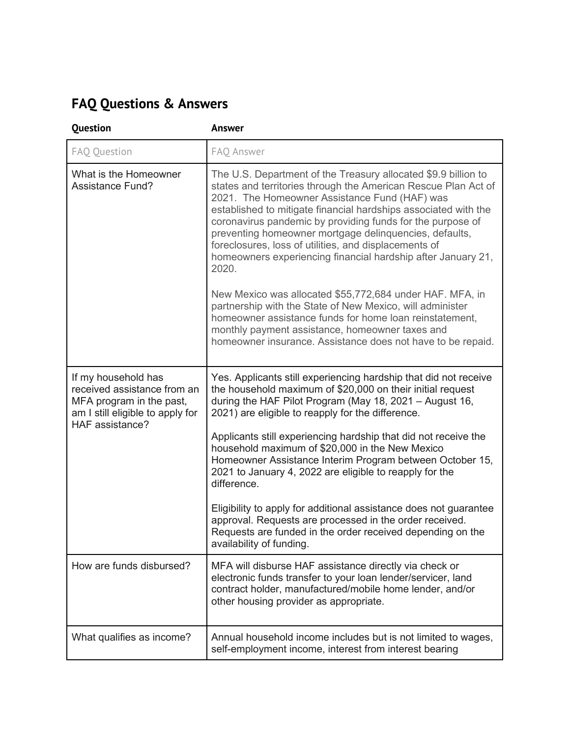## **FAQ Questions & Answers**

| <b>Question</b>                                                                                                                       | <b>Answer</b>                                                                                                                                                                                                                                                                                                                                                                                                                                                                                                                                                                                                                                                                                                                                                                                                        |
|---------------------------------------------------------------------------------------------------------------------------------------|----------------------------------------------------------------------------------------------------------------------------------------------------------------------------------------------------------------------------------------------------------------------------------------------------------------------------------------------------------------------------------------------------------------------------------------------------------------------------------------------------------------------------------------------------------------------------------------------------------------------------------------------------------------------------------------------------------------------------------------------------------------------------------------------------------------------|
| FAQ Question                                                                                                                          | FAQ Answer                                                                                                                                                                                                                                                                                                                                                                                                                                                                                                                                                                                                                                                                                                                                                                                                           |
| What is the Homeowner<br><b>Assistance Fund?</b>                                                                                      | The U.S. Department of the Treasury allocated \$9.9 billion to<br>states and territories through the American Rescue Plan Act of<br>2021. The Homeowner Assistance Fund (HAF) was<br>established to mitigate financial hardships associated with the<br>coronavirus pandemic by providing funds for the purpose of<br>preventing homeowner mortgage delinquencies, defaults,<br>foreclosures, loss of utilities, and displacements of<br>homeowners experiencing financial hardship after January 21,<br>2020.<br>New Mexico was allocated \$55,772,684 under HAF. MFA, in<br>partnership with the State of New Mexico, will administer<br>homeowner assistance funds for home loan reinstatement,<br>monthly payment assistance, homeowner taxes and<br>homeowner insurance. Assistance does not have to be repaid. |
| If my household has<br>received assistance from an<br>MFA program in the past,<br>am I still eligible to apply for<br>HAF assistance? | Yes. Applicants still experiencing hardship that did not receive<br>the household maximum of \$20,000 on their initial request<br>during the HAF Pilot Program (May 18, 2021 $-$ August 16,<br>2021) are eligible to reapply for the difference.<br>Applicants still experiencing hardship that did not receive the<br>household maximum of \$20,000 in the New Mexico<br>Homeowner Assistance Interim Program between October 15,<br>2021 to January 4, 2022 are eligible to reapply for the<br>difference.<br>Eligibility to apply for additional assistance does not guarantee<br>approval. Requests are processed in the order received.<br>Requests are funded in the order received depending on the<br>availability of funding.                                                                               |
| How are funds disbursed?                                                                                                              | MFA will disburse HAF assistance directly via check or<br>electronic funds transfer to your loan lender/servicer, land<br>contract holder, manufactured/mobile home lender, and/or<br>other housing provider as appropriate.                                                                                                                                                                                                                                                                                                                                                                                                                                                                                                                                                                                         |
| What qualifies as income?                                                                                                             | Annual household income includes but is not limited to wages,<br>self-employment income, interest from interest bearing                                                                                                                                                                                                                                                                                                                                                                                                                                                                                                                                                                                                                                                                                              |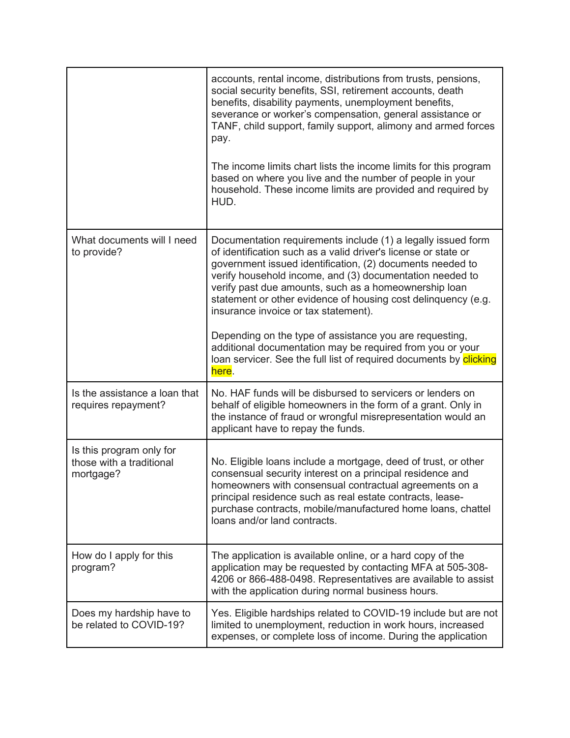|                                                                   | accounts, rental income, distributions from trusts, pensions,<br>social security benefits, SSI, retirement accounts, death<br>benefits, disability payments, unemployment benefits,<br>severance or worker's compensation, general assistance or<br>TANF, child support, family support, alimony and armed forces<br>pay.<br>The income limits chart lists the income limits for this program<br>based on where you live and the number of people in your<br>household. These income limits are provided and required by<br>HUD.                                                                                                 |
|-------------------------------------------------------------------|----------------------------------------------------------------------------------------------------------------------------------------------------------------------------------------------------------------------------------------------------------------------------------------------------------------------------------------------------------------------------------------------------------------------------------------------------------------------------------------------------------------------------------------------------------------------------------------------------------------------------------|
| What documents will I need<br>to provide?                         | Documentation requirements include (1) a legally issued form<br>of identification such as a valid driver's license or state or<br>government issued identification, (2) documents needed to<br>verify household income, and (3) documentation needed to<br>verify past due amounts, such as a homeownership loan<br>statement or other evidence of housing cost delinquency (e.g.<br>insurance invoice or tax statement).<br>Depending on the type of assistance you are requesting,<br>additional documentation may be required from you or your<br>loan servicer. See the full list of required documents by clicking<br>here. |
| Is the assistance a loan that<br>requires repayment?              | No. HAF funds will be disbursed to servicers or lenders on<br>behalf of eligible homeowners in the form of a grant. Only in<br>the instance of fraud or wrongful misrepresentation would an<br>applicant have to repay the funds.                                                                                                                                                                                                                                                                                                                                                                                                |
| Is this program only for<br>those with a traditional<br>mortgage? | No. Eligible loans include a mortgage, deed of trust, or other<br>consensual security interest on a principal residence and<br>homeowners with consensual contractual agreements on a<br>principal residence such as real estate contracts, lease-<br>purchase contracts, mobile/manufactured home loans, chattel<br>loans and/or land contracts.                                                                                                                                                                                                                                                                                |
| How do I apply for this<br>program?                               | The application is available online, or a hard copy of the<br>application may be requested by contacting MFA at 505-308-<br>4206 or 866-488-0498. Representatives are available to assist<br>with the application during normal business hours.                                                                                                                                                                                                                                                                                                                                                                                  |
| Does my hardship have to<br>be related to COVID-19?               | Yes. Eligible hardships related to COVID-19 include but are not<br>limited to unemployment, reduction in work hours, increased<br>expenses, or complete loss of income. During the application                                                                                                                                                                                                                                                                                                                                                                                                                                   |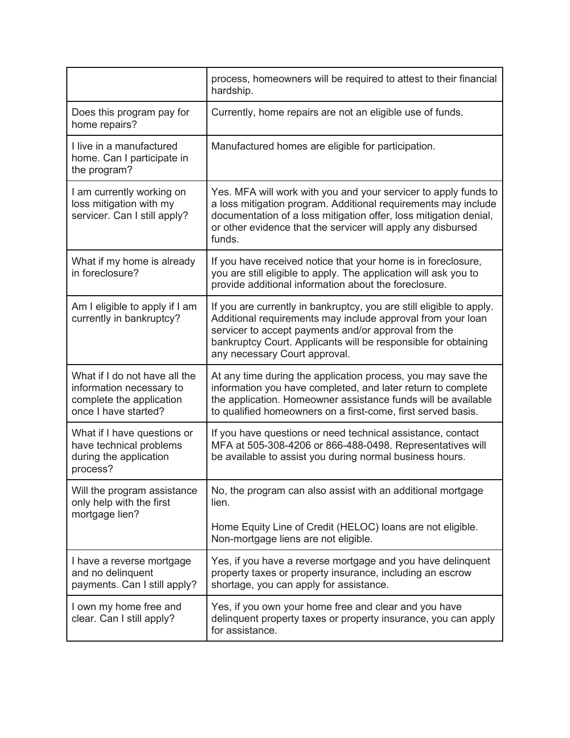|                                                                                                               | process, homeowners will be required to attest to their financial<br>hardship.                                                                                                                                                                                                                 |
|---------------------------------------------------------------------------------------------------------------|------------------------------------------------------------------------------------------------------------------------------------------------------------------------------------------------------------------------------------------------------------------------------------------------|
| Does this program pay for<br>home repairs?                                                                    | Currently, home repairs are not an eligible use of funds.                                                                                                                                                                                                                                      |
| I live in a manufactured<br>home. Can I participate in<br>the program?                                        | Manufactured homes are eligible for participation.                                                                                                                                                                                                                                             |
| I am currently working on<br>loss mitigation with my<br>servicer. Can I still apply?                          | Yes. MFA will work with you and your servicer to apply funds to<br>a loss mitigation program. Additional requirements may include<br>documentation of a loss mitigation offer, loss mitigation denial,<br>or other evidence that the servicer will apply any disbursed<br>funds.               |
| What if my home is already<br>in foreclosure?                                                                 | If you have received notice that your home is in foreclosure,<br>you are still eligible to apply. The application will ask you to<br>provide additional information about the foreclosure.                                                                                                     |
| Am I eligible to apply if I am<br>currently in bankruptcy?                                                    | If you are currently in bankruptcy, you are still eligible to apply.<br>Additional requirements may include approval from your loan<br>servicer to accept payments and/or approval from the<br>bankruptcy Court. Applicants will be responsible for obtaining<br>any necessary Court approval. |
| What if I do not have all the<br>information necessary to<br>complete the application<br>once I have started? | At any time during the application process, you may save the<br>information you have completed, and later return to complete<br>the application. Homeowner assistance funds will be available<br>to qualified homeowners on a first-come, first served basis.                                  |
| What if I have questions or<br>have technical problems<br>during the application<br>process?                  | If you have questions or need technical assistance, contact<br>MFA at 505-308-4206 or 866-488-0498. Representatives will<br>be available to assist you during normal business hours.                                                                                                           |
| Will the program assistance<br>only help with the first<br>mortgage lien?                                     | No, the program can also assist with an additional mortgage<br>lien.<br>Home Equity Line of Credit (HELOC) loans are not eligible.<br>Non-mortgage liens are not eligible.                                                                                                                     |
| I have a reverse mortgage<br>and no delinquent<br>payments. Can I still apply?                                | Yes, if you have a reverse mortgage and you have delinquent<br>property taxes or property insurance, including an escrow<br>shortage, you can apply for assistance.                                                                                                                            |
| I own my home free and<br>clear. Can I still apply?                                                           | Yes, if you own your home free and clear and you have<br>delinquent property taxes or property insurance, you can apply<br>for assistance.                                                                                                                                                     |